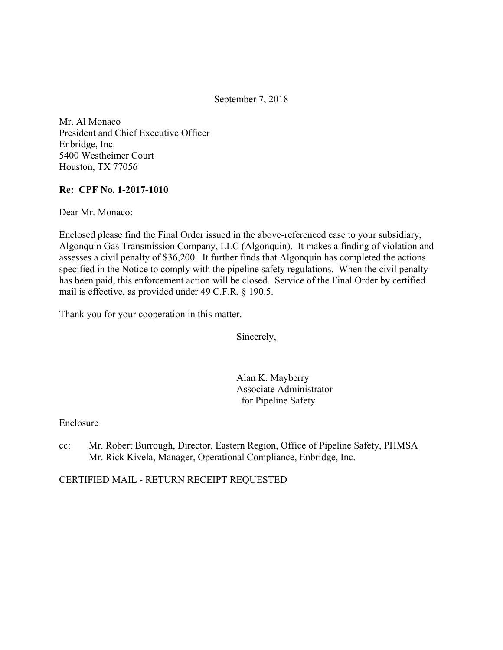September 7, 2018

Mr. Al Monaco President and Chief Executive Officer Enbridge, Inc. 5400 Westheimer Court Houston, TX 77056

#### **Re: CPF No. 1-2017-1010**

Dear Mr. Monaco:

Enclosed please find the Final Order issued in the above-referenced case to your subsidiary, Algonquin Gas Transmission Company, LLC (Algonquin). It makes a finding of violation and assesses a civil penalty of \$36,200. It further finds that Algonquin has completed the actions specified in the Notice to comply with the pipeline safety regulations. When the civil penalty has been paid, this enforcement action will be closed. Service of the Final Order by certified mail is effective, as provided under 49 C.F.R. § 190.5.

Thank you for your cooperation in this matter.

Sincerely,

Alan K. Mayberry Associate Administrator for Pipeline Safety

Enclosure

cc: Mr. Robert Burrough, Director, Eastern Region, Office of Pipeline Safety, PHMSA Mr. Rick Kivela, Manager, Operational Compliance, Enbridge, Inc.

#### CERTIFIED MAIL - RETURN RECEIPT REQUESTED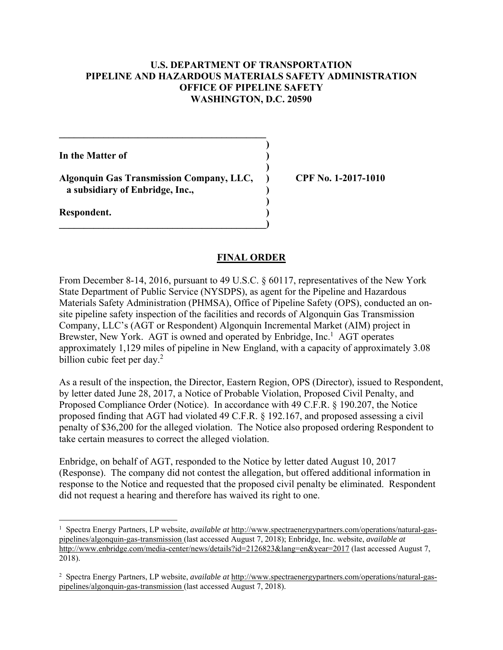#### **U.S. DEPARTMENT OF TRANSPORTATION PIPELINE AND HAZARDOUS MATERIALS SAFETY ADMINISTRATION OFFICE OF PIPELINE SAFETY WASHINGTON, D.C. 20590**

**)**

 **)**

**)**

**In the Matter of )**

**Algonquin Gas Transmission Company, LLC, ) CPF No. 1-2017-1010 a subsidiary of Enbridge, Inc., )** 

**\_\_\_\_\_\_\_\_\_\_\_\_\_\_\_\_\_\_\_\_\_\_\_\_\_\_\_\_\_\_\_\_\_\_\_\_\_\_\_\_\_\_)** 

 $\mathcal{L} = \{ \mathcal{L} \}$ 

**Respondent. )** 

 $\overline{a}$ 

## **FINAL ORDER**

From December 8-14, 2016, pursuant to 49 U.S.C. § 60117, representatives of the New York State Department of Public Service (NYSDPS), as agent for the Pipeline and Hazardous Materials Safety Administration (PHMSA), Office of Pipeline Safety (OPS), conducted an onsite pipeline safety inspection of the facilities and records of Algonquin Gas Transmission Company, LLC's (AGT or Respondent) Algonquin Incremental Market (AIM) project in Brewster, New York. AGT is owned and operated by Enbridge, Inc.<sup>1</sup> AGT operates approximately 1,129 miles of pipeline in New England, with a capacity of approximately 3.08 billion cubic feet per day.<sup>2</sup>

As a result of the inspection, the Director, Eastern Region, OPS (Director), issued to Respondent, by letter dated June 28, 2017, a Notice of Probable Violation, Proposed Civil Penalty, and Proposed Compliance Order (Notice). In accordance with 49 C.F.R. § 190.207, the Notice proposed finding that AGT had violated 49 C.F.R. § 192.167, and proposed assessing a civil penalty of \$36,200 for the alleged violation. The Notice also proposed ordering Respondent to take certain measures to correct the alleged violation.

Enbridge, on behalf of AGT, responded to the Notice by letter dated August 10, 2017 (Response). The company did not contest the allegation, but offered additional information in response to the Notice and requested that the proposed civil penalty be eliminated. Respondent did not request a hearing and therefore has waived its right to one.

<sup>1</sup> Spectra Energy Partners, LP website, *available at* http://www.spectraenergypartners.com/operations/natural-gaspipelines/algonquin-gas-transmission (last accessed August 7, 2018); Enbridge, Inc. website, *available at*  http://www.enbridge.com/media-center/news/details?id=2126823&lang=en&year=2017 (last accessed August 7, 2018).

 2 Spectra Energy Partners, LP website, *available at* http://www.spectraenergypartners.com/operations/natural-gaspipelines/algonquin-gas-transmission (last accessed August 7, 2018).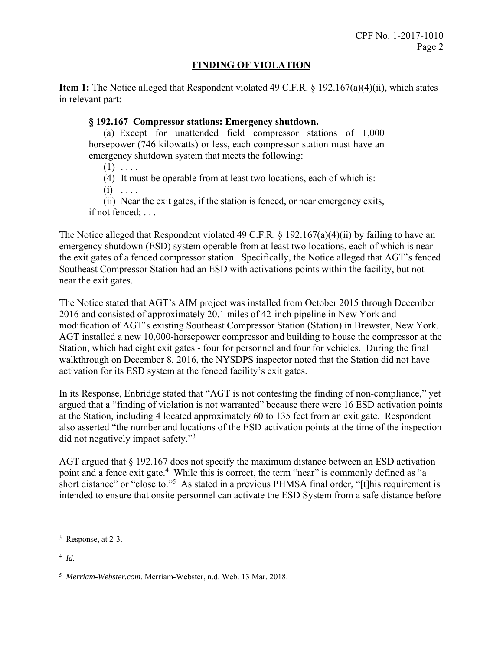## **FINDING OF VIOLATION**

**Item 1:** The Notice alleged that Respondent violated 49 C.F.R. § 192.167(a)(4)(ii), which states in relevant part:

## **§ 192.167 Compressor stations: Emergency shutdown.**

(a) Except for unattended field compressor stations of 1,000 horsepower (746 kilowatts) or less, each compressor station must have an emergency shutdown system that meets the following:

 $(1)$  ....

(4) It must be operable from at least two locations, each of which is:

 $(i) \ldots$ 

(ii) Near the exit gates, if the station is fenced, or near emergency exits, if not fenced; . . .

The Notice alleged that Respondent violated 49 C.F.R. § 192.167(a)(4)(ii) by failing to have an emergency shutdown (ESD) system operable from at least two locations, each of which is near the exit gates of a fenced compressor station. Specifically, the Notice alleged that AGT's fenced Southeast Compressor Station had an ESD with activations points within the facility, but not near the exit gates.

The Notice stated that AGT's AIM project was installed from October 2015 through December 2016 and consisted of approximately 20.1 miles of 42-inch pipeline in New York and modification of AGT's existing Southeast Compressor Station (Station) in Brewster, New York. AGT installed a new 10,000-horsepower compressor and building to house the compressor at the Station, which had eight exit gates - four for personnel and four for vehicles. During the final walkthrough on December 8, 2016, the NYSDPS inspector noted that the Station did not have activation for its ESD system at the fenced facility's exit gates.

did not negatively impact safety."<sup>3</sup> In its Response, Enbridge stated that "AGT is not contesting the finding of non-compliance," yet argued that a "finding of violation is not warranted" because there were 16 ESD activation points at the Station, including 4 located approximately 60 to 135 feet from an exit gate. Respondent also asserted "the number and locations of the ESD activation points at the time of the inspection

AGT argued that § 192.167 does not specify the maximum distance between an ESD activation point and a fence exit gate.<sup>4</sup> While this is correct, the term "near" is commonly defined as "a short distance" or "close to."<sup>5</sup> As stated in a previous PHMSA final order, "[t]his requirement is intended to ensure that onsite personnel can activate the ESD System from a safe distance before

1

 $3$  Response, at 2-3.

 <sup>4</sup> *Id.* 

 <sup>5</sup> *Merriam-Webster.com*. Merriam-Webster, n.d. Web. 13 Mar. 2018.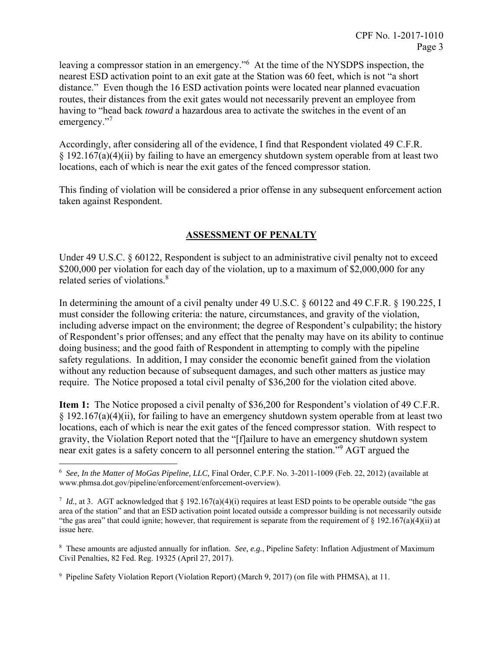leaving a compressor station in an emergency."<sup>6</sup> At the time of the NYSDPS inspection, the nearest ESD activation point to an exit gate at the Station was 60 feet, which is not "a short distance." Even though the 16 ESD activation points were located near planned evacuation routes, their distances from the exit gates would not necessarily prevent an employee from having to "head back *toward* a hazardous area to activate the switches in the event of an emergency."<sup>7</sup>

Accordingly, after considering all of the evidence, I find that Respondent violated 49 C.F.R.  $\S$  192.167(a)(4)(ii) by failing to have an emergency shutdown system operable from at least two locations, each of which is near the exit gates of the fenced compressor station.

This finding of violation will be considered a prior offense in any subsequent enforcement action taken against Respondent.

# **ASSESSMENT OF PENALTY**

related series of violations.<sup>8</sup> Under 49 U.S.C. § 60122, Respondent is subject to an administrative civil penalty not to exceed \$200,000 per violation for each day of the violation, up to a maximum of \$2,000,000 for any

In determining the amount of a civil penalty under 49 U.S.C. § 60122 and 49 C.F.R. § 190.225, I must consider the following criteria: the nature, circumstances, and gravity of the violation, including adverse impact on the environment; the degree of Respondent's culpability; the history of Respondent's prior offenses; and any effect that the penalty may have on its ability to continue doing business; and the good faith of Respondent in attempting to comply with the pipeline safety regulations. In addition, I may consider the economic benefit gained from the violation without any reduction because of subsequent damages, and such other matters as justice may require. The Notice proposed a total civil penalty of \$36,200 for the violation cited above.

**Item 1:** The Notice proposed a civil penalty of \$36,200 for Respondent's violation of 49 C.F.R. § 192.167(a)(4)(ii), for failing to have an emergency shutdown system operable from at least two locations, each of which is near the exit gates of the fenced compressor station. With respect to gravity, the Violation Report noted that the "[f]ailure to have an emergency shutdown system near exit gates is a safety concern to all personnel entering the station."9 AGT argued the

 $\overline{a}$ 

 <sup>6</sup> *See, In the Matter of MoGas Pipeline, LLC,* Final Order, C.P.F. No. 3-2011-1009 (Feb. 22, 2012) (available at www.phmsa.dot.gov/pipeline/enforcement/enforcement-overview).

*Id.*, at 3. AGT acknowledged that § 192.167(a)(4)(i) requires at least ESD points to be operable outside "the gas area of the station" and that an ESD activation point located outside a compressor building is not necessarily outside "the gas area" that could ignite; however, that requirement is separate from the requirement of  $\S 192.167(a)(4)(ii)$  at issue here.

<sup>8</sup> These amounts are adjusted annually for inflation. *See, e.g.*, Pipeline Safety: Inflation Adjustment of Maximum Civil Penalties, 82 Fed. Reg. 19325 (April 27, 2017).

<sup>9</sup> Pipeline Safety Violation Report (Violation Report) (March 9, 2017) (on file with PHMSA), at 11.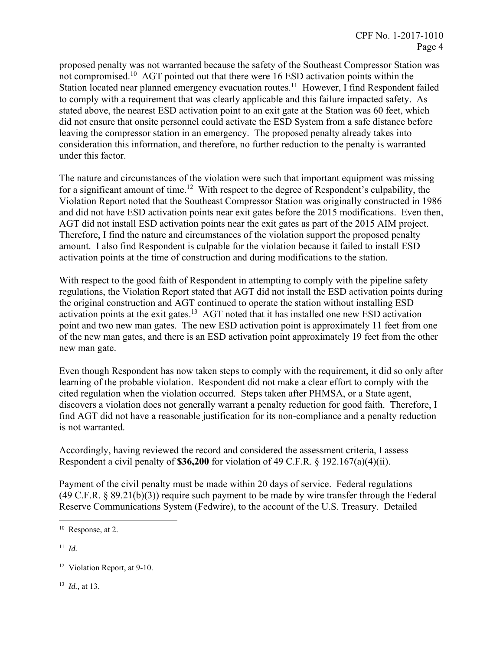proposed penalty was not warranted because the safety of the Southeast Compressor Station was not compromised.<sup>10</sup> AGT pointed out that there were 16 ESD activation points within the Station located near planned emergency evacuation routes.<sup>11</sup> However, I find Respondent failed to comply with a requirement that was clearly applicable and this failure impacted safety. As stated above, the nearest ESD activation point to an exit gate at the Station was 60 feet, which did not ensure that onsite personnel could activate the ESD System from a safe distance before leaving the compressor station in an emergency. The proposed penalty already takes into consideration this information, and therefore, no further reduction to the penalty is warranted under this factor.

The nature and circumstances of the violation were such that important equipment was missing for a significant amount of time.<sup>12</sup> With respect to the degree of Respondent's culpability, the Violation Report noted that the Southeast Compressor Station was originally constructed in 1986 and did not have ESD activation points near exit gates before the 2015 modifications. Even then, AGT did not install ESD activation points near the exit gates as part of the 2015 AIM project. Therefore, I find the nature and circumstances of the violation support the proposed penalty amount. I also find Respondent is culpable for the violation because it failed to install ESD activation points at the time of construction and during modifications to the station.

 the original construction and AGT continued to operate the station without installing ESD With respect to the good faith of Respondent in attempting to comply with the pipeline safety regulations, the Violation Report stated that AGT did not install the ESD activation points during activation points at the exit gates.13 AGT noted that it has installed one new ESD activation point and two new man gates. The new ESD activation point is approximately 11 feet from one of the new man gates, and there is an ESD activation point approximately 19 feet from the other new man gate.

Even though Respondent has now taken steps to comply with the requirement, it did so only after learning of the probable violation. Respondent did not make a clear effort to comply with the cited regulation when the violation occurred. Steps taken after PHMSA, or a State agent, discovers a violation does not generally warrant a penalty reduction for good faith. Therefore, I find AGT did not have a reasonable justification for its non-compliance and a penalty reduction is not warranted.

Accordingly, having reviewed the record and considered the assessment criteria, I assess Respondent a civil penalty of **\$36,200** for violation of 49 C.F.R. § 192.167(a)(4)(ii).

Payment of the civil penalty must be made within 20 days of service. Federal regulations (49 C.F.R. § 89.21(b)(3)) require such payment to be made by wire transfer through the Federal Reserve Communications System (Fedwire), to the account of the U.S. Treasury. Detailed

1

<sup>13</sup> *Id.,* at 13.

 <sup>10</sup> Response, at 2.

 $11$  *Id.* 

<sup>&</sup>lt;sup>12</sup> Violation Report, at 9-10.